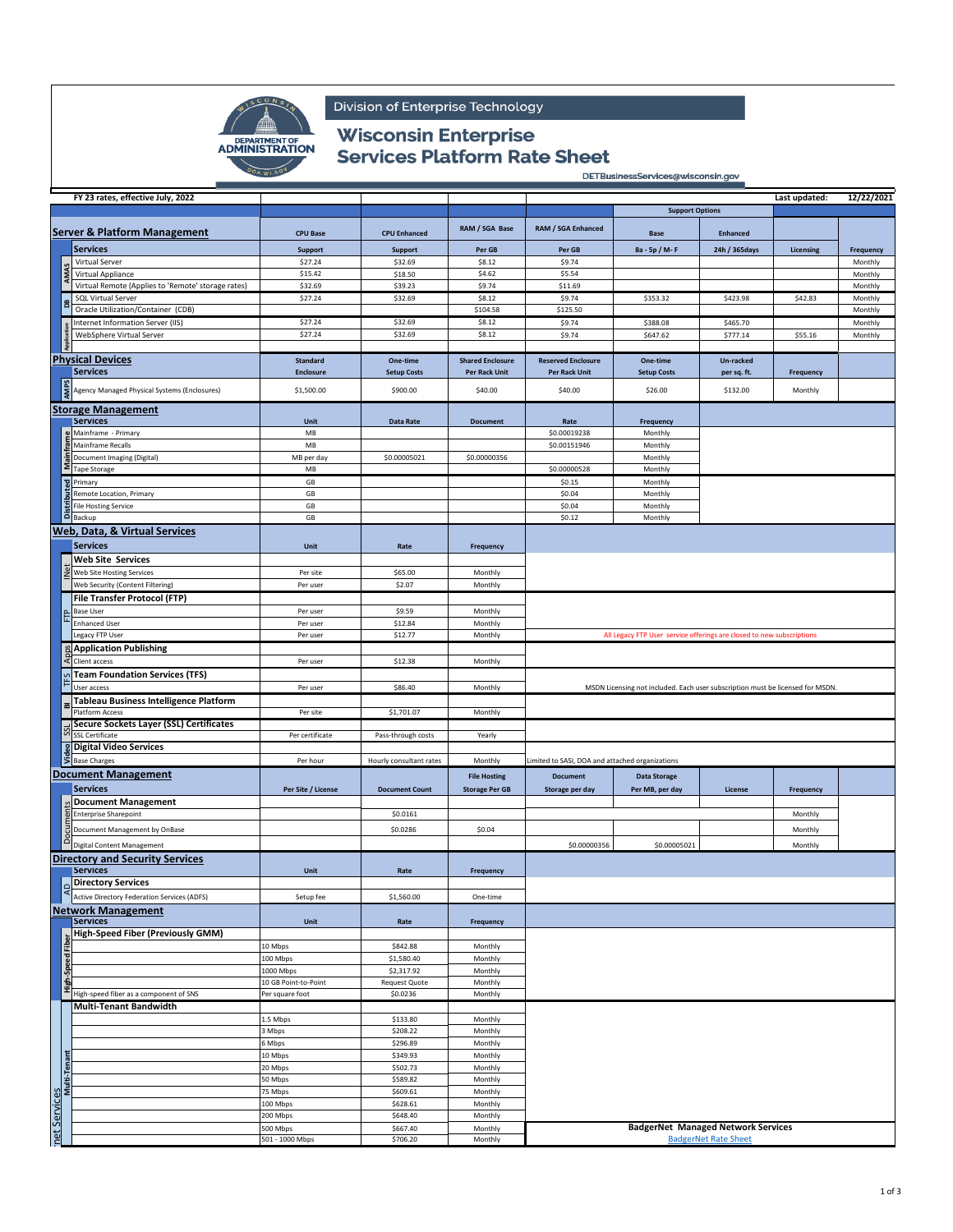

Division of Enterprise Technology

## **Wisconsin Enterprise Services Platform Rate Sheet**

DETBusinessServices@wisconsin.gov

|                              | FY 23 rates, effective July, 2022                         |                      |                         |                         |                                                 |                                                                                |                             | Last updated: | 12/22/2021 |
|------------------------------|-----------------------------------------------------------|----------------------|-------------------------|-------------------------|-------------------------------------------------|--------------------------------------------------------------------------------|-----------------------------|---------------|------------|
|                              |                                                           |                      |                         |                         |                                                 | <b>Support Options</b>                                                         |                             |               |            |
|                              |                                                           |                      |                         |                         |                                                 |                                                                                |                             |               |            |
|                              | <b>Server &amp; Platform Management</b>                   | <b>CPU Base</b>      | <b>CPU Enhanced</b>     | RAM / SGA Base          | RAM / SGA Enhanced                              | <b>Base</b>                                                                    | <b>Enhanced</b>             |               |            |
|                              | <b>Services</b>                                           | Support              | Support                 | Per GB                  | Per GB                                          | 8a - 5p / M-F                                                                  | 24h / 365days               | Licensing     | Frequency  |
|                              | Virtual Server                                            | \$27.24              | \$32.69                 | \$8.12                  | \$9.74                                          |                                                                                |                             |               | Monthly    |
|                              | Virtual Appliance                                         | \$15.42              | \$18.50                 | \$4.62                  | \$5.54                                          |                                                                                |                             |               | Monthly    |
|                              | Virtual Remote (Applies to 'Remote' storage rates)        | \$32.69              | \$39.23                 | \$9.74                  | \$11.69                                         |                                                                                |                             |               | Monthly    |
|                              | <b>SQL Virtual Server</b>                                 | \$27.24              | \$32.69                 | \$8.12                  | \$9.74                                          | \$353.32                                                                       | \$423.98                    | \$42.83       | Monthly    |
|                              | Oracle Utilization/Container (CDB)                        |                      |                         | \$104.58                | \$125.50                                        |                                                                                |                             |               | Monthly    |
|                              | Internet Information Server (IIS)                         | \$27.24              | \$32.69                 | \$8.12                  | \$9.74                                          | \$388.08                                                                       | \$465.70                    |               | Monthly    |
|                              | WebSphere Virtual Server                                  | \$27.24              | \$32.69                 | \$8.12                  | \$9.74                                          | \$647.62                                                                       | \$777.14                    | \$55.16       | Monthly    |
|                              |                                                           |                      |                         |                         |                                                 |                                                                                |                             |               |            |
|                              | <b>Physical Devices</b>                                   | <b>Standard</b>      | One-time                | <b>Shared Enclosure</b> | <b>Reserved Enclosure</b>                       | One-time                                                                       | Un-racked                   |               |            |
|                              | <b>Services</b>                                           | <b>Enclosure</b>     | <b>Setup Costs</b>      | Per Rack Unit           | Per Rack Unit                                   | <b>Setup Costs</b>                                                             | per sq. ft.                 | Frequency     |            |
|                              | AMPS<br>Agency Managed Physical Systems (Enclosures)      | \$1,500.00           | \$900.00                | \$40.00                 | \$40.00                                         | \$26.00                                                                        | \$132.00                    | Monthly       |            |
|                              |                                                           |                      |                         |                         |                                                 |                                                                                |                             |               |            |
|                              | <b>Storage Management</b>                                 |                      |                         |                         |                                                 |                                                                                |                             |               |            |
|                              | <b>Services</b>                                           | Unit                 | Data Rate               | <b>Document</b>         | Rate                                            | Frequency                                                                      |                             |               |            |
|                              | Mainframe - Primary                                       | MB                   |                         |                         | \$0.00019238                                    | Monthly                                                                        |                             |               |            |
|                              | Mainframe Recalls                                         | MB                   |                         |                         | \$0.00151946                                    | Monthly                                                                        |                             |               |            |
|                              | Document Imaging (Digital)                                | MB per day           | \$0.00005021            | \$0.00000356            |                                                 | Monthly                                                                        |                             |               |            |
|                              | <b>Tape Storage</b>                                       | MB                   |                         |                         | \$0.00000528                                    | Monthly                                                                        |                             |               |            |
|                              | ēd<br>Primary                                             | GB                   |                         |                         | \$0.15                                          | Monthly                                                                        |                             |               |            |
|                              | Remote Location, Primary<br><b>File Hosting Service</b>   | GB<br>GB             |                         |                         | \$0.04<br>\$0.04                                | Monthly                                                                        |                             |               |            |
|                              | Backup                                                    | GB                   |                         |                         | \$0.12                                          | Monthly<br>Monthly                                                             |                             |               |            |
|                              |                                                           |                      |                         |                         |                                                 |                                                                                |                             |               |            |
|                              | Web, Data, & Virtual Services                             |                      |                         |                         |                                                 |                                                                                |                             |               |            |
|                              | <b>Services</b>                                           | Unit                 | Rate                    | Frequency               |                                                 |                                                                                |                             |               |            |
|                              | <b>Web Site Services</b>                                  |                      |                         |                         |                                                 |                                                                                |                             |               |            |
|                              | Web Site Hosting Services                                 | Per site             | \$65.00                 | Monthly                 |                                                 |                                                                                |                             |               |            |
|                              | Web Security (Content Filtering)                          | Per user             | \$2.07                  | Monthly                 |                                                 |                                                                                |                             |               |            |
|                              | <b>File Transfer Protocol (FTP)</b>                       |                      |                         |                         |                                                 |                                                                                |                             |               |            |
|                              | <b>Base User</b>                                          | Per user             | \$9.59                  | Monthly                 |                                                 |                                                                                |                             |               |            |
|                              | <b>Enhanced User</b>                                      | Per user             | \$12.84                 | Monthly                 |                                                 |                                                                                |                             |               |            |
|                              | Legacy FTP User                                           | Per user             | \$12.77                 | Monthly                 |                                                 | All Legacy FTP User service offerings are closed to new subscriptions          |                             |               |            |
|                              | <b>Application Publishing</b>                             |                      |                         |                         |                                                 |                                                                                |                             |               |            |
|                              | Client access                                             | Per user             | \$12.38                 | Monthly                 |                                                 |                                                                                |                             |               |            |
|                              | <b>Team Foundation Services (TFS)</b>                     |                      |                         |                         |                                                 |                                                                                |                             |               |            |
|                              | User access                                               | Per user             | \$86.40                 | Monthly                 |                                                 | MSDN Licensing not included. Each user subscription must be licensed for MSDN. |                             |               |            |
|                              | Tableau Business Intelligence Platform                    |                      |                         |                         |                                                 |                                                                                |                             |               |            |
|                              | Platform Access                                           | Per site             | \$1,701.07              | Monthly                 |                                                 |                                                                                |                             |               |            |
|                              | Secure Sockets Layer (SSL) Certificates                   |                      |                         |                         |                                                 |                                                                                |                             |               |            |
|                              | <b>SSL Certificate</b><br><b>8 Digital Video Services</b> | Per certificate      | Pass-through costs      | Yearly                  |                                                 |                                                                                |                             |               |            |
|                              | <b>Base Charges</b>                                       | Per hour             | Hourly consultant rates | Monthly                 | Limited to SASI, DOA and attached organizations |                                                                                |                             |               |            |
|                              |                                                           |                      |                         |                         |                                                 |                                                                                |                             |               |            |
|                              | <b>Document Management</b>                                |                      |                         | <b>File Hosting</b>     | <b>Document</b>                                 | <b>Data Storage</b>                                                            |                             |               |            |
|                              | <b>Services</b>                                           | Per Site / License   | <b>Document Count</b>   | <b>Storage Per GB</b>   | Storage per day                                 | Per MB, per day                                                                | License                     | Frequency     |            |
|                              | <b>Document Management</b>                                |                      |                         |                         |                                                 |                                                                                |                             |               |            |
|                              | <b>Enterprise Sharepoint</b>                              |                      | \$0.0161                |                         |                                                 |                                                                                |                             | Monthly       |            |
|                              | Document Management by OnBase                             |                      | \$0.0286                | \$0.04                  |                                                 |                                                                                |                             | Monthly       |            |
|                              | Digital Content Management                                |                      |                         |                         | \$0.00000356                                    | \$0.00005021                                                                   |                             | Monthly       |            |
|                              | <b>Directory and Security Services</b>                    |                      |                         |                         |                                                 |                                                                                |                             |               |            |
|                              | <b>Services</b>                                           | Unit                 | Rate                    | Frequency               |                                                 |                                                                                |                             |               |            |
|                              | Directory Services                                        |                      |                         |                         |                                                 |                                                                                |                             |               |            |
|                              | Active Directory Federation Services (ADFS)               | Setup fee            | \$1,560.00              | One-time                |                                                 |                                                                                |                             |               |            |
|                              | <b>Network Management</b>                                 |                      |                         |                         |                                                 |                                                                                |                             |               |            |
|                              | <b>Services</b>                                           | Unit                 | Rate                    | Frequency               |                                                 |                                                                                |                             |               |            |
|                              | High-Speed Fiber (Previously GMM)                         |                      |                         |                         |                                                 |                                                                                |                             |               |            |
|                              |                                                           | 10 Mbps              | \$842.88                | Monthly                 |                                                 |                                                                                |                             |               |            |
|                              | Speed                                                     | 100 Mbps             | \$1,580.40              | Monthly                 |                                                 |                                                                                |                             |               |            |
|                              |                                                           | 1000 Mbps            | \$2,317.92              | Monthly                 |                                                 |                                                                                |                             |               |            |
|                              | ï                                                         | 10 GB Point-to-Point | <b>Request Quote</b>    | Monthly                 |                                                 |                                                                                |                             |               |            |
|                              | High-speed fiber as a component of SNS                    | Per square foot      | \$0.0236                | Monthly                 |                                                 |                                                                                |                             |               |            |
|                              | <b>Multi-Tenant Bandwidth</b>                             |                      |                         |                         |                                                 |                                                                                |                             |               |            |
|                              |                                                           | 1.5 Mbps             | \$133.80                | Monthly                 |                                                 |                                                                                |                             |               |            |
|                              |                                                           | 3 Mbps               | \$208.22                | Monthly                 |                                                 |                                                                                |                             |               |            |
|                              |                                                           | 6 Mbps               | \$296.89                | Monthly                 |                                                 |                                                                                |                             |               |            |
|                              |                                                           | 10 Mbps              | \$349.93                | Monthly                 |                                                 |                                                                                |                             |               |            |
|                              |                                                           | 20 Mbps              | \$502.73                | Monthly                 |                                                 |                                                                                |                             |               |            |
| net Services<br>Multi-Tenant |                                                           | 50 Mbps<br>75 Mbps   | \$589.82<br>\$609.61    | Monthly<br>Monthly      |                                                 |                                                                                |                             |               |            |
|                              |                                                           | 100 Mbps             | \$628.61                | Monthly                 |                                                 |                                                                                |                             |               |            |
|                              |                                                           | 200 Mbps             | \$648.40                | Monthly                 |                                                 |                                                                                |                             |               |            |
|                              |                                                           | 500 Mbps             | \$667.40                | Monthly                 |                                                 | <b>BadgerNet Managed Network Services</b>                                      |                             |               |            |
|                              |                                                           | 501 - 1000 Mbps      | \$706.20                | Monthly                 |                                                 |                                                                                | <b>BadgerNet Rate Sheet</b> |               |            |
|                              |                                                           |                      |                         |                         |                                                 |                                                                                |                             |               |            |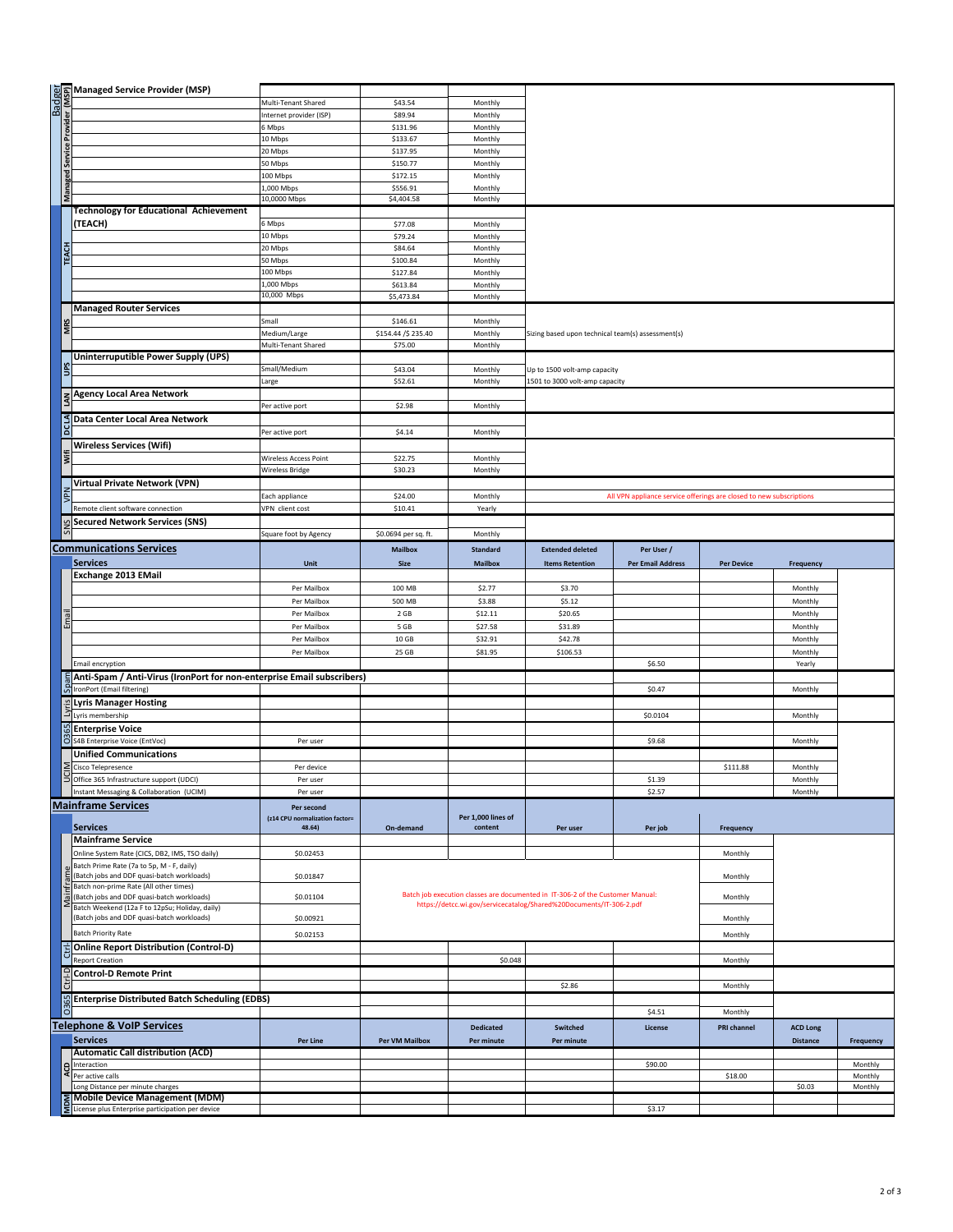|                 | ैं कि Managed Service Provider (MSP)<br>सर्वे हैं<br>सर्वे हैं<br>कर्ते हैं<br>बैठे करें के सामना का पानी का पानी का पानी का पानी का पानी का पानी का पानी का पानी का पानी का पानी का पानी का<br>कर्ते के सामना का पानी का पानी का पानी का प |                                   |                      |                    |                                                                                |                                                                     |                   |                 |           |
|-----------------|---------------------------------------------------------------------------------------------------------------------------------------------------------------------------------------------------------------------------------------------|-----------------------------------|----------------------|--------------------|--------------------------------------------------------------------------------|---------------------------------------------------------------------|-------------------|-----------------|-----------|
|                 |                                                                                                                                                                                                                                             | Multi-Tenant Shared               | \$43.54              | Monthly            |                                                                                |                                                                     |                   |                 |           |
|                 |                                                                                                                                                                                                                                             | Internet provider (ISP)<br>6 Mbps | \$89.94              | Monthly            |                                                                                |                                                                     |                   |                 |           |
|                 |                                                                                                                                                                                                                                             |                                   | \$131.96             | Monthly            |                                                                                |                                                                     |                   |                 |           |
|                 |                                                                                                                                                                                                                                             | 10 Mbps<br>20 Mbps                | \$133.67<br>\$137.95 | Monthly<br>Monthly |                                                                                |                                                                     |                   |                 |           |
|                 |                                                                                                                                                                                                                                             | 50 Mbps                           | \$150.77             | Monthly            |                                                                                |                                                                     |                   |                 |           |
| Managed Service |                                                                                                                                                                                                                                             | 100 Mbps                          | \$172.15             | Monthly            |                                                                                |                                                                     |                   |                 |           |
|                 |                                                                                                                                                                                                                                             | L,000 Mbps                        | \$556.91             | Monthly            |                                                                                |                                                                     |                   |                 |           |
|                 |                                                                                                                                                                                                                                             | 10,0000 Mbps                      | \$4,404.58           | Monthly            |                                                                                |                                                                     |                   |                 |           |
|                 | <b>Technology for Educational Achievement</b>                                                                                                                                                                                               |                                   |                      |                    |                                                                                |                                                                     |                   |                 |           |
|                 | (TEACH)                                                                                                                                                                                                                                     | 6 Mbps                            | \$77.08              | Monthly            |                                                                                |                                                                     |                   |                 |           |
|                 |                                                                                                                                                                                                                                             | 10 Mbps                           | \$79.24              | Monthly            |                                                                                |                                                                     |                   |                 |           |
|                 |                                                                                                                                                                                                                                             | 20 Mbps                           | \$84.64              | Monthly            |                                                                                |                                                                     |                   |                 |           |
| <b>TEACH</b>    |                                                                                                                                                                                                                                             | 50 Mbps                           | \$100.84             | Monthly            |                                                                                |                                                                     |                   |                 |           |
|                 |                                                                                                                                                                                                                                             | 100 Mbps                          | \$127.84             | Monthly            |                                                                                |                                                                     |                   |                 |           |
|                 |                                                                                                                                                                                                                                             | 1,000 Mbps                        | \$613.84             | Monthly            |                                                                                |                                                                     |                   |                 |           |
|                 |                                                                                                                                                                                                                                             | 10,000 Mbps                       | \$5,473.84           | Monthly            |                                                                                |                                                                     |                   |                 |           |
|                 | <b>Managed Router Services</b>                                                                                                                                                                                                              |                                   |                      |                    |                                                                                |                                                                     |                   |                 |           |
|                 |                                                                                                                                                                                                                                             | Small                             | \$146.61             | Monthly            |                                                                                |                                                                     |                   |                 |           |
|                 |                                                                                                                                                                                                                                             | Medium/Large                      | \$154.44 / \$235.40  | Monthly            | Sizing based upon technical team(s) assessment(s)                              |                                                                     |                   |                 |           |
|                 |                                                                                                                                                                                                                                             | Multi-Tenant Shared               | \$75.00              | Monthly            |                                                                                |                                                                     |                   |                 |           |
|                 | Uninterruputible Power Supply (UPS)                                                                                                                                                                                                         |                                   |                      |                    |                                                                                |                                                                     |                   |                 |           |
|                 |                                                                                                                                                                                                                                             | Small/Medium                      | \$43.04              | Monthly            | Up to 1500 volt-amp capacity                                                   |                                                                     |                   |                 |           |
|                 |                                                                                                                                                                                                                                             | Large                             | \$52.61              | Monthly            | 1501 to 3000 volt-amp capacity                                                 |                                                                     |                   |                 |           |
|                 | z Agency Local Area Network                                                                                                                                                                                                                 |                                   |                      |                    |                                                                                |                                                                     |                   |                 |           |
|                 |                                                                                                                                                                                                                                             | Per active port                   | \$2.98               | Monthly            |                                                                                |                                                                     |                   |                 |           |
|                 | SData Center Local Area Network                                                                                                                                                                                                             |                                   |                      |                    |                                                                                |                                                                     |                   |                 |           |
|                 |                                                                                                                                                                                                                                             | Per active port                   | \$4.14               | Monthly            |                                                                                |                                                                     |                   |                 |           |
|                 | <b>Wireless Services (Wifi)</b>                                                                                                                                                                                                             |                                   |                      |                    |                                                                                |                                                                     |                   |                 |           |
|                 |                                                                                                                                                                                                                                             | Wireless Access Point             | \$22.75              | Monthly            |                                                                                |                                                                     |                   |                 |           |
|                 |                                                                                                                                                                                                                                             | <b>Wireless Bridge</b>            | \$30.23              | Monthly            |                                                                                |                                                                     |                   |                 |           |
|                 | <b>Virtual Private Network (VPN)</b>                                                                                                                                                                                                        |                                   |                      |                    |                                                                                |                                                                     |                   |                 |           |
|                 |                                                                                                                                                                                                                                             | Each appliance                    | \$24.00              | Monthly            |                                                                                | All VPN appliance service offerings are closed to new subscriptions |                   |                 |           |
|                 | Remote client software connection                                                                                                                                                                                                           | VPN client cost                   | \$10.41              | Yearly             |                                                                                |                                                                     |                   |                 |           |
|                 | <b>Secured Network Services (SNS)</b>                                                                                                                                                                                                       |                                   |                      |                    |                                                                                |                                                                     |                   |                 |           |
|                 |                                                                                                                                                                                                                                             | Square foot by Agency             | \$0.0694 per sq. ft. | Monthly            |                                                                                |                                                                     |                   |                 |           |
|                 | <b>Communications Services</b>                                                                                                                                                                                                              |                                   |                      |                    | <b>Extended deleted</b>                                                        |                                                                     |                   |                 |           |
|                 | <b>Services</b>                                                                                                                                                                                                                             |                                   | <b>Mailbox</b>       | Standard           |                                                                                | Per User /                                                          |                   |                 |           |
|                 | Exchange 2013 EMail                                                                                                                                                                                                                         | Unit                              | <b>Size</b>          | <b>Mailbox</b>     | <b>Items Retention</b>                                                         | <b>Per Email Address</b>                                            | <b>Per Device</b> | Frequency       |           |
|                 |                                                                                                                                                                                                                                             |                                   |                      |                    |                                                                                |                                                                     |                   |                 |           |
|                 |                                                                                                                                                                                                                                             | Per Mailbox<br>Per Mailbox        | 100 MB<br>500 MB     | \$2.77             | \$3.70<br>\$5.12                                                               |                                                                     |                   | Monthly         |           |
|                 |                                                                                                                                                                                                                                             |                                   |                      |                    |                                                                                |                                                                     |                   |                 |           |
|                 |                                                                                                                                                                                                                                             |                                   |                      | \$3.88             |                                                                                |                                                                     |                   | Monthly         |           |
|                 |                                                                                                                                                                                                                                             | Per Mailbox                       | 2 GB                 | \$12.11            | \$20.65                                                                        |                                                                     |                   | Monthly         |           |
|                 |                                                                                                                                                                                                                                             | Per Mailbox                       | 5 GB                 | \$27.58            | \$31.89                                                                        |                                                                     |                   | Monthly         |           |
|                 |                                                                                                                                                                                                                                             | Per Mailbox                       | 10 GB                | \$32.91            | \$42.78                                                                        |                                                                     |                   | Monthly         |           |
|                 |                                                                                                                                                                                                                                             | Per Mailbox                       | 25 GB                | \$81.95            | \$106.53                                                                       |                                                                     |                   | Monthly         |           |
|                 | <b>Email encryption</b>                                                                                                                                                                                                                     |                                   |                      |                    |                                                                                | \$6.50                                                              |                   | Yearly          |           |
|                 | Anti-Spam / Anti-Virus (IronPort for non-enterprise Email subscribers)                                                                                                                                                                      |                                   |                      |                    |                                                                                |                                                                     |                   |                 |           |
|                 | ကြို IronPort (Email filtering)                                                                                                                                                                                                             |                                   |                      |                    |                                                                                | \$0.47                                                              |                   | Monthly         |           |
|                 | ≌Lyris Manager Hosting                                                                                                                                                                                                                      |                                   |                      |                    |                                                                                |                                                                     |                   |                 |           |
|                 | Lyris membership                                                                                                                                                                                                                            |                                   |                      |                    |                                                                                | \$0.0104                                                            |                   | Monthly         |           |
|                 | <b>Enterprise Voice</b>                                                                                                                                                                                                                     |                                   |                      |                    |                                                                                |                                                                     |                   |                 |           |
|                 | S4B Enterprise Voice (EntVoc)                                                                                                                                                                                                               | Per user                          |                      |                    |                                                                                | \$9.68                                                              |                   | Monthly         |           |
|                 | <b>Unified Communications</b>                                                                                                                                                                                                               |                                   |                      |                    |                                                                                |                                                                     |                   |                 |           |
|                 | Cisco Telepresence                                                                                                                                                                                                                          | Per device                        |                      |                    |                                                                                |                                                                     | \$111.88          | Monthly         |           |
|                 | Office 365 Infrastructure support (UDCI)                                                                                                                                                                                                    | Per use                           |                      |                    |                                                                                | \$1.39                                                              |                   | Monthly         |           |
|                 | Instant Messaging & Collaboration (UCIM)                                                                                                                                                                                                    | Per user                          |                      |                    |                                                                                | \$2.57                                                              |                   | Monthly         |           |
|                 | <b>Mainframe Services</b>                                                                                                                                                                                                                   | Per second                        |                      |                    |                                                                                |                                                                     |                   |                 |           |
|                 |                                                                                                                                                                                                                                             | (z14 CPU normalization factor=    |                      | Per 1,000 lines of |                                                                                |                                                                     |                   |                 |           |
|                 | <b>Services</b>                                                                                                                                                                                                                             | 48.64)                            | On-demand            | content            | Per user                                                                       | Per job                                                             | Frequency         |                 |           |
|                 | <b>Mainframe Service</b>                                                                                                                                                                                                                    |                                   |                      |                    |                                                                                |                                                                     |                   |                 |           |
|                 | Online System Rate (CICS, DB2, IMS, TSO daily)                                                                                                                                                                                              | \$0.02453                         |                      |                    |                                                                                |                                                                     | Monthly           |                 |           |
|                 | Batch Prime Rate (7a to 5p, M - F, daily)<br>(Batch jobs and DDF quasi-batch workloads)                                                                                                                                                     | \$0.01847                         |                      |                    |                                                                                |                                                                     | Monthly           |                 |           |
|                 | Batch non-prime Rate (All other times)                                                                                                                                                                                                      |                                   |                      |                    |                                                                                |                                                                     |                   |                 |           |
|                 | (Batch jobs and DDF quasi-batch workloads)                                                                                                                                                                                                  | \$0.01104                         |                      |                    | Batch job execution classes are documented in IT-306-2 of the Customer Manual: |                                                                     | Monthly           |                 |           |
|                 | Batch Weekend (12a F to 12pSu; Holiday, daily)                                                                                                                                                                                              |                                   |                      |                    | https://detcc.wi.gov/servicecatalog/Shared%20Documents/IT-306-2.pdf            |                                                                     |                   |                 |           |
|                 | (Batch jobs and DDF quasi-batch workloads)                                                                                                                                                                                                  | \$0.00921                         |                      |                    |                                                                                |                                                                     | Monthly           |                 |           |
|                 | <b>Batch Priority Rate</b>                                                                                                                                                                                                                  | \$0.02153                         |                      |                    |                                                                                |                                                                     | Monthly           |                 |           |
|                 | <b>Online Report Distribution (Control-D)</b>                                                                                                                                                                                               |                                   |                      |                    |                                                                                |                                                                     |                   |                 |           |
|                 | <b>Report Creation</b>                                                                                                                                                                                                                      |                                   |                      | \$0.048            |                                                                                |                                                                     | Monthly           |                 |           |
|                 | <b>Control-D Remote Print</b>                                                                                                                                                                                                               |                                   |                      |                    |                                                                                |                                                                     |                   |                 |           |
|                 |                                                                                                                                                                                                                                             |                                   |                      |                    | \$2.86                                                                         |                                                                     | Monthly           |                 |           |
|                 | Enterprise Distributed Batch Scheduling (EDBS)                                                                                                                                                                                              |                                   |                      |                    |                                                                                |                                                                     |                   |                 |           |
|                 |                                                                                                                                                                                                                                             |                                   |                      |                    |                                                                                | \$4.51                                                              | Monthly           |                 |           |
|                 | <b>Telephone &amp; VoIP Services</b>                                                                                                                                                                                                        |                                   |                      | <b>Dedicated</b>   |                                                                                | License                                                             | PRI channel       |                 |           |
|                 |                                                                                                                                                                                                                                             |                                   |                      |                    | Switched                                                                       |                                                                     |                   | <b>ACD Long</b> |           |
|                 | <b>Services</b>                                                                                                                                                                                                                             | Per Line                          | Per VM Mailbox       | Per minute         | Per minute                                                                     |                                                                     |                   | Distance        | Frequency |
|                 | <b>Automatic Call distribution (ACD)</b><br>Interaction                                                                                                                                                                                     |                                   |                      |                    |                                                                                | \$90.00                                                             |                   |                 | Monthly   |
|                 | Per active calls                                                                                                                                                                                                                            |                                   |                      |                    |                                                                                |                                                                     | \$18.00           |                 | Monthly   |
|                 | Long Distance per minute charges                                                                                                                                                                                                            |                                   |                      |                    |                                                                                |                                                                     |                   | \$0.03          | Monthly   |
|                 | Mobile Device Management (MDM)<br>License plus Enterprise participation per device                                                                                                                                                          |                                   |                      |                    |                                                                                | \$3.17                                                              |                   |                 |           |